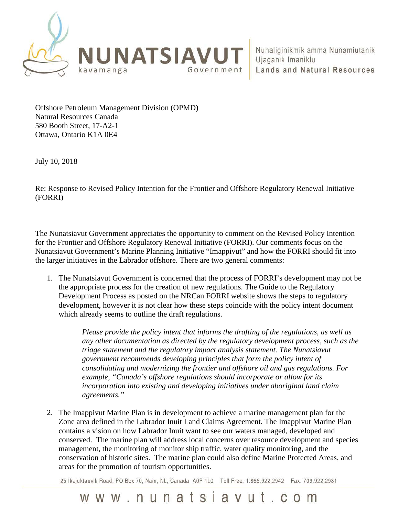

Offshore Petroleum Management Division (OPMD**)**  Natural Resources Canada 580 Booth Street, 17-A2-1 Ottawa, Ontario K1A 0E4

July 10, 2018

Re: Response to Revised Policy Intention for the Frontier and Offshore Regulatory Renewal Initiative (FORRI)

The Nunatsiavut Government appreciates the opportunity to comment on the Revised Policy Intention for the Frontier and Offshore Regulatory Renewal Initiative (FORRI). Our comments focus on the Nunatsiavut Government's Marine Planning Initiative "Imappivut" and how the FORRI should fit into the larger initiatives in the Labrador offshore. There are two general comments:

1. The Nunatsiavut Government is concerned that the process of FORRI's development may not be the appropriate process for the creation of new regulations. The Guide to the Regulatory Development Process as posted on the NRCan FORRI website shows the steps to regulatory development, however it is not clear how these steps coincide with the policy intent document which already seems to outline the draft regulations.

> *Please provide the policy intent that informs the drafting of the regulations, as well as any other documentation as directed by the regulatory development process, such as the triage statement and the regulatory impact analysis statement. The Nunatsiavut government recommends developing principles that form the policy intent of consolidating and modernizing the frontier and offshore oil and gas regulations. For example, "Canada's offshore regulations should incorporate or allow for its incorporation into existing and developing initiatives under aboriginal land claim agreements."*

2. The Imappivut Marine Plan is in development to achieve a marine management plan for the Zone area defined in the Labrador Inuit Land Claims Agreement. The Imappivut Marine Plan contains a vision on how Labrador Inuit want to see our waters managed, developed and conserved. The marine plan will address local concerns over resource development and species management, the monitoring of monitor ship traffic, water quality monitoring, and the conservation of historic sites. The marine plan could also define Marine Protected Areas, and areas for the promotion of tourism opportunities.

25 Ikajuktauvik Road, PO Box 70, Nain, NL, Canada A0P 1L0 Toll Free: 1.866.922.2942 Fax: 709.922.2931

## www.nunatsiavut.com